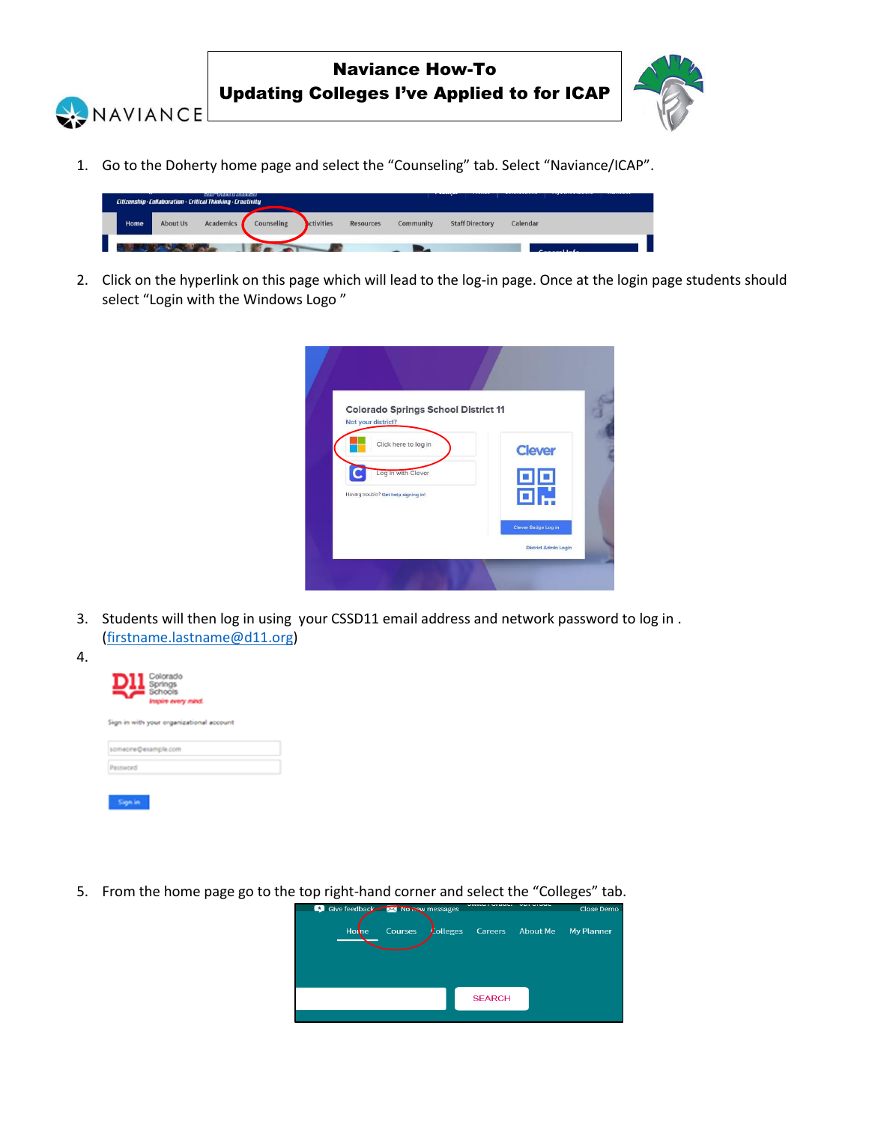



1. Go to the Doherty home page and select the "Counseling" tab. Select "Naviance/ICAP".



2. Click on the hyperlink on this page which will lead to the log-in page. Once at the login page students should select "Login with the Windows Logo "

| <b>Colorado Springs School District 11</b>                 |                             |  |
|------------------------------------------------------------|-----------------------------|--|
| Not your district?                                         |                             |  |
| Click here to log in                                       | <b>Clever</b>               |  |
| Log in with Clever<br>Having trouble? Get help signing in! | 00                          |  |
|                                                            | Clever Badge Log in         |  |
|                                                            | <b>District Admin Login</b> |  |

3. Students will then log in using your CSSD11 email address and network password to log in . [\(firstname.lastname@d11.org\)](mailto:firstname.lastname@d11.org)



4.

5. From the home page go to the top right-hand corner and select the "Colleges" tab.

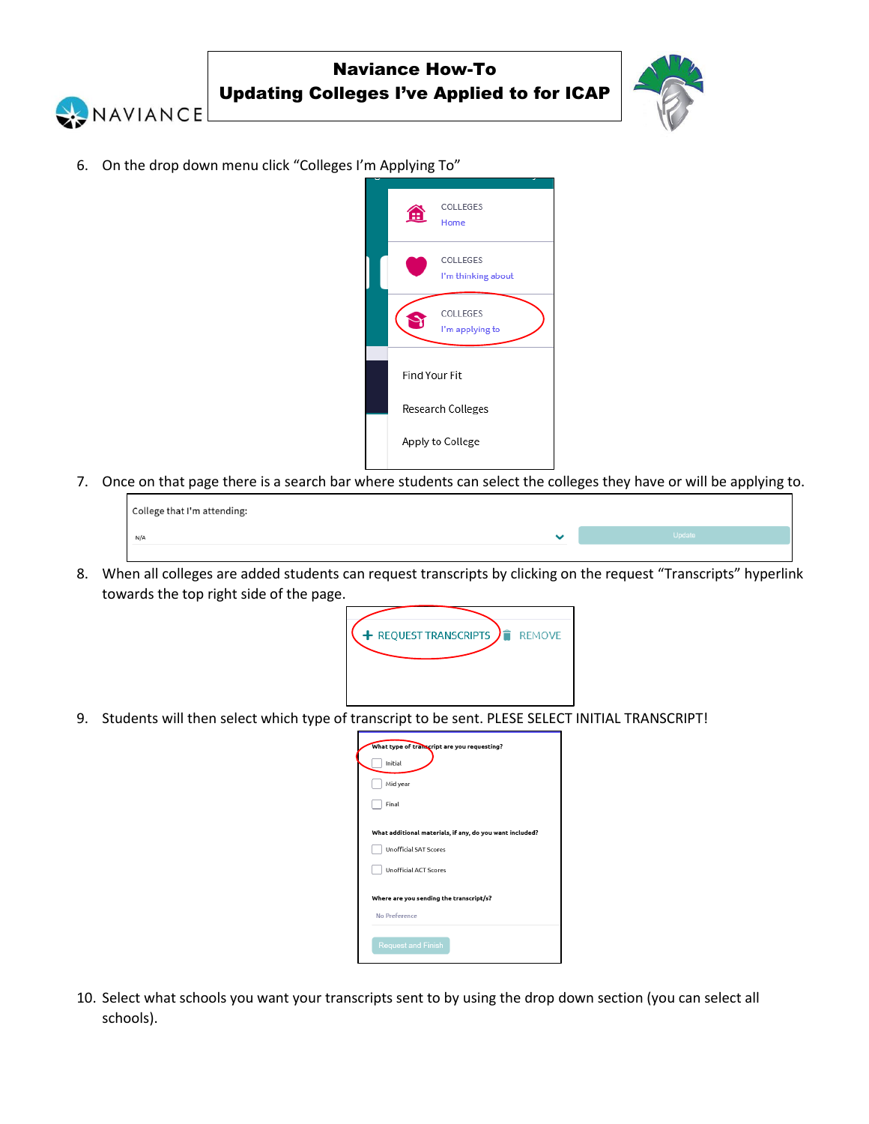



6. On the drop down menu click "Colleges I'm Applying To"



7. Once on that page there is a search bar where students can select the colleges they have or will be applying to.

| College that I'm attending: |   |        |  |  |  |  |  |
|-----------------------------|---|--------|--|--|--|--|--|
| N/A                         | ີ | Update |  |  |  |  |  |
|                             |   |        |  |  |  |  |  |

8. When all colleges are added students can request transcripts by clicking on the request "Transcripts" hyperlink towards the top right side of the page.



9. Students will then select which type of transcript to be sent. PLESE SELECT INITIAL TRANSCRIPT!

| What type of transcript are you requesting?              |  |  |  |  |  |
|----------------------------------------------------------|--|--|--|--|--|
| Initial                                                  |  |  |  |  |  |
| Mid year                                                 |  |  |  |  |  |
| Final                                                    |  |  |  |  |  |
|                                                          |  |  |  |  |  |
| What additional materials, if any, do you want included? |  |  |  |  |  |
| <b>Unofficial SAT Scores</b>                             |  |  |  |  |  |
| <b>Unofficial ACT Scores</b>                             |  |  |  |  |  |
|                                                          |  |  |  |  |  |
| Where are you sending the transcript/s?                  |  |  |  |  |  |
| No Preference                                            |  |  |  |  |  |
|                                                          |  |  |  |  |  |
| <b>Request and Finish</b>                                |  |  |  |  |  |
|                                                          |  |  |  |  |  |

10. Select what schools you want your transcripts sent to by using the drop down section (you can select all schools).